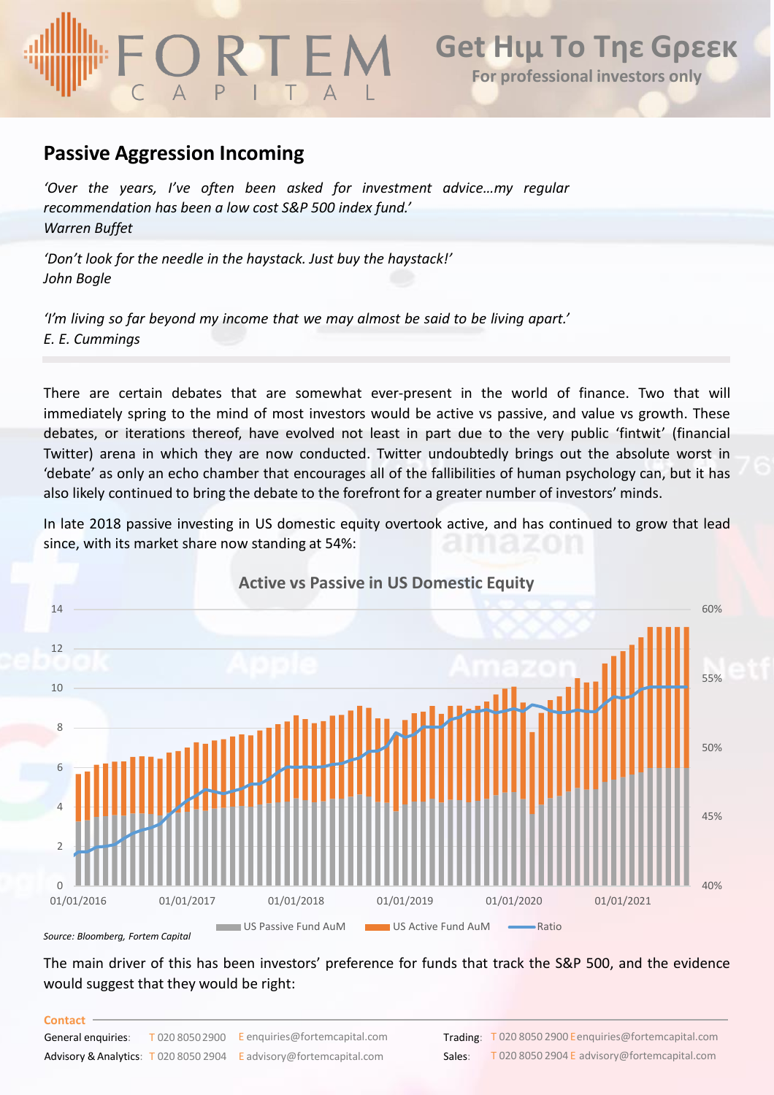## **Get Ηιμ Το Τηε Gρεεκ For professional investors only**

### **Passive Aggression Incoming**

*'Over the years, I've often been asked for investment advice…my regular recommendation has been a low cost S&P 500 index fund.' Warren Buffet*

*'Don't look for the needle in the haystack. Just buy the haystack!' John Bogle*

*'I'm living so far beyond my income that we may almost be said to be living apart.' E. E. Cummings*

There are certain debates that are somewhat ever-present in the world of finance. Two that will immediately spring to the mind of most investors would be active vs passive, and value vs growth. These debates, or iterations thereof, have evolved not least in part due to the very public 'fintwit' (financial Twitter) arena in which they are now conducted. Twitter undoubtedly brings out the absolute worst in 'debate' as only an echo chamber that encourages all of the fallibilities of human psychology can, but it has also likely continued to bring the debate to the forefront for a greater number of investors' minds.

In late 2018 passive investing in US domestic equity overtook active, and has continued to grow that lead since, with its market share now standing at 54%:



*Source: Bloomberg, Fortem Capital*

The main driver of this has been investors' preference for funds that track the S&P 500, and the evidence would suggest that they would be right:

### **Contact**

| __________         |                                                                               |        |                                     |
|--------------------|-------------------------------------------------------------------------------|--------|-------------------------------------|
| General enguiries: | $\overline{I}$ 020 8050 2900 E enguiries@fortemcapital.com                    |        | <b>Trading: T 020 8050 2900 Een</b> |
|                    | <b>Advisory &amp; Analytics:</b> T 020 8050 2904 E advisory@fortemcapital.com | Sales: | T 020 8050 2904 E ad                |

equiries@fortemcapital.com dvisory@fortemcapital.com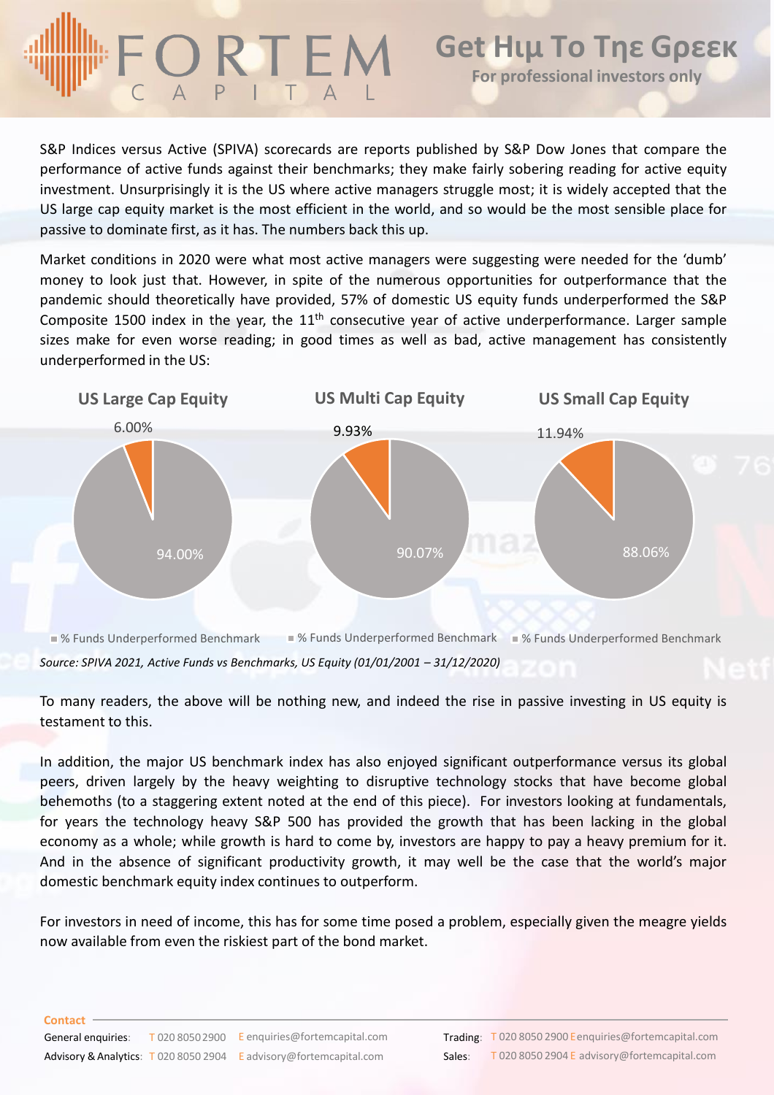# **Get Ηιμ Το Τηε Gρεεκ** ORTEM **For professional investors only**

S&P Indices versus Active (SPIVA) scorecards are reports published by S&P Dow Jones that compare the performance of active funds against their benchmarks; they make fairly sobering reading for active equity investment. Unsurprisingly it is the US where active managers struggle most; it is widely accepted that the US large cap equity market is the most efficient in the world, and so would be the most sensible place for passive to dominate first, as it has. The numbers back this up.

Market conditions in 2020 were what most active managers were suggesting were needed for the 'dumb' money to look just that. However, in spite of the numerous opportunities for outperformance that the pandemic should theoretically have provided, 57% of domestic US equity funds underperformed the S&P Composite 1500 index in the year, the  $11<sup>th</sup>$  consecutive year of active underperformance. Larger sample sizes make for even worse reading; in good times as well as bad, active management has consistently underperformed in the US:



*Source: SPIVA 2021, Active Funds vs Benchmarks, US Equity (01/01/2001 – 31/12/2020)*

To many readers, the above will be nothing new, and indeed the rise in passive investing in US equity is testament to this.

In addition, the major US benchmark index has also enjoyed significant outperformance versus its global peers, driven largely by the heavy weighting to disruptive technology stocks that have become global behemoths (to a staggering extent noted at the end of this piece). For investors looking at fundamentals, for years the technology heavy S&P 500 has provided the growth that has been lacking in the global economy as a whole; while growth is hard to come by, investors are happy to pay a heavy premium for it. And in the absence of significant productivity growth, it may well be the case that the world's major domestic benchmark equity index continues to outperform.

For investors in need of income, this has for some time posed a problem, especially given the meagre yields now available from even the riskiest part of the bond market.

### **Contact**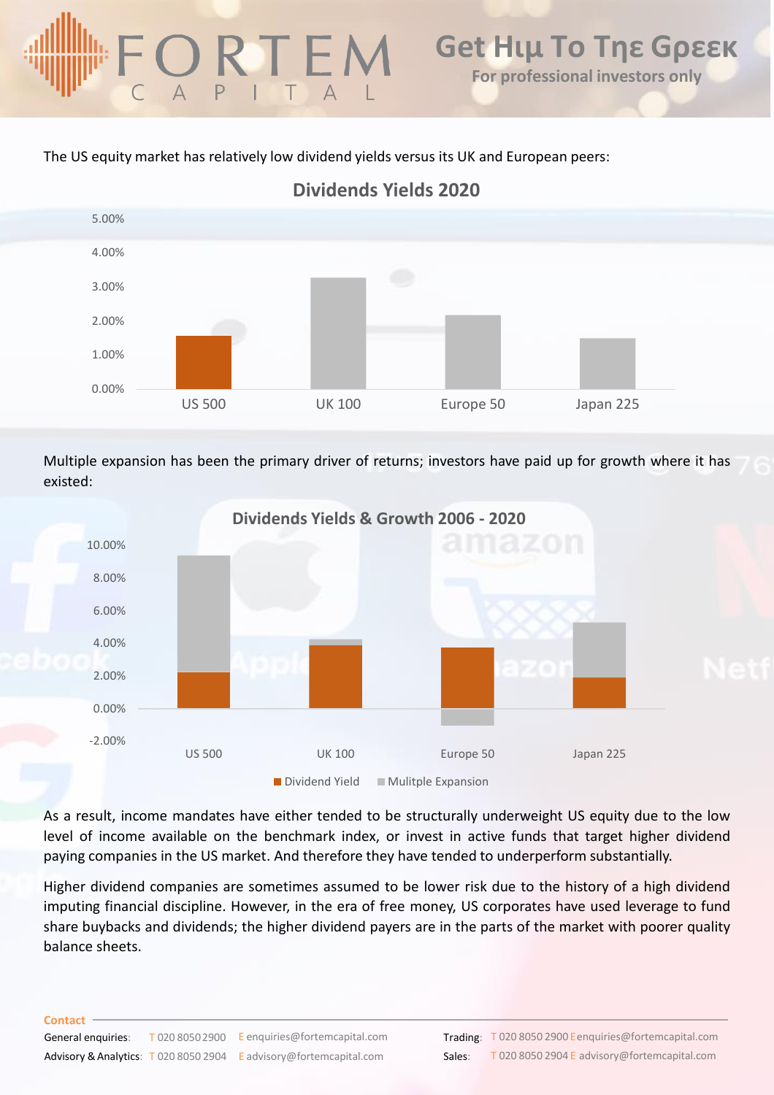The US equity market has relatively low dividend yields versus its UK and European peers:



Multiple expansion has been the primary driver of returns; investors have paid up for growth where it has existed:

![](_page_2_Figure_5.jpeg)

As a result, income mandates have either tended to be structurally underweight US equity due to the low level of income available on the benchmark index, or invest in active funds that target higher dividend paying companies in the US market. And therefore they have tended to underperform substantially.

Higher dividend companies are sometimes assumed to be lower risk due to the history of a high dividend imputing financial discipline. However, in the era of free money, US corporates have used leverage to fund share buybacks and dividends; the higher dividend payers are in the parts of the market with poorer quality balance sheets.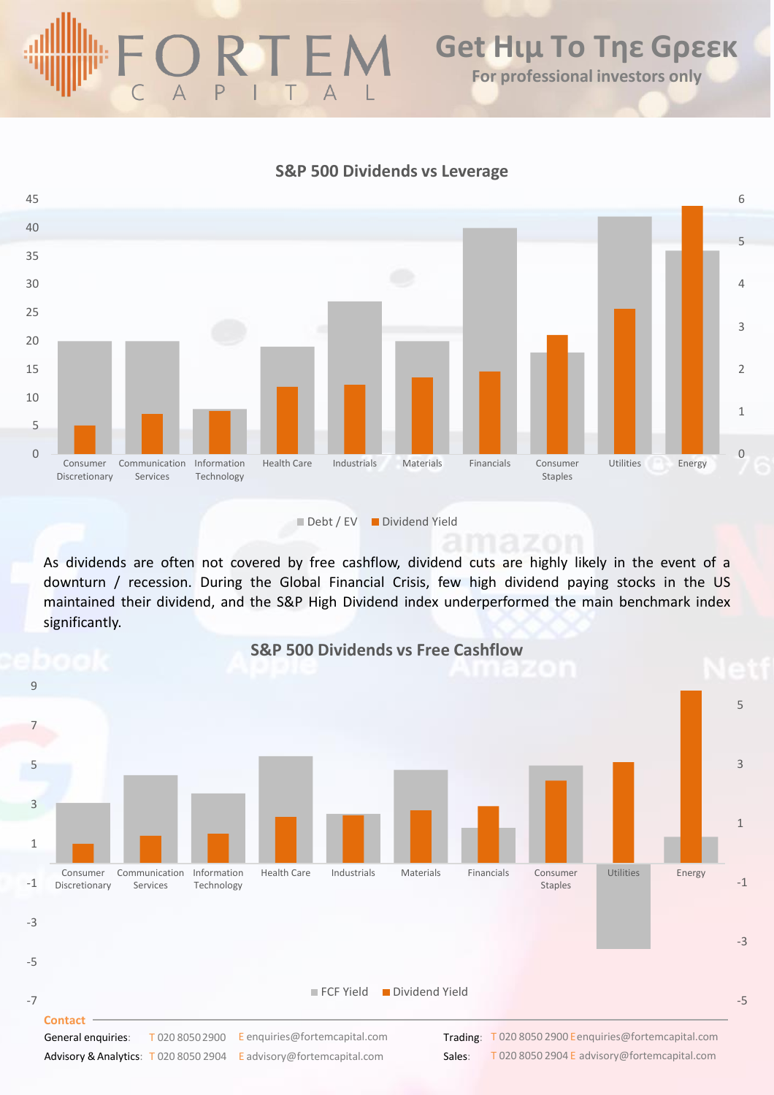# А Ρ

### **S&P 500 Dividends vs Leverage**

![](_page_3_Figure_3.jpeg)

As dividends are often not covered by free cashflow, dividend cuts are highly likely in the event of a downturn / recession. During the Global Financial Crisis, few high dividend paying stocks in the US maintained their dividend, and the S&P High Dividend index underperformed the main benchmark index significantly.

![](_page_3_Figure_6.jpeg)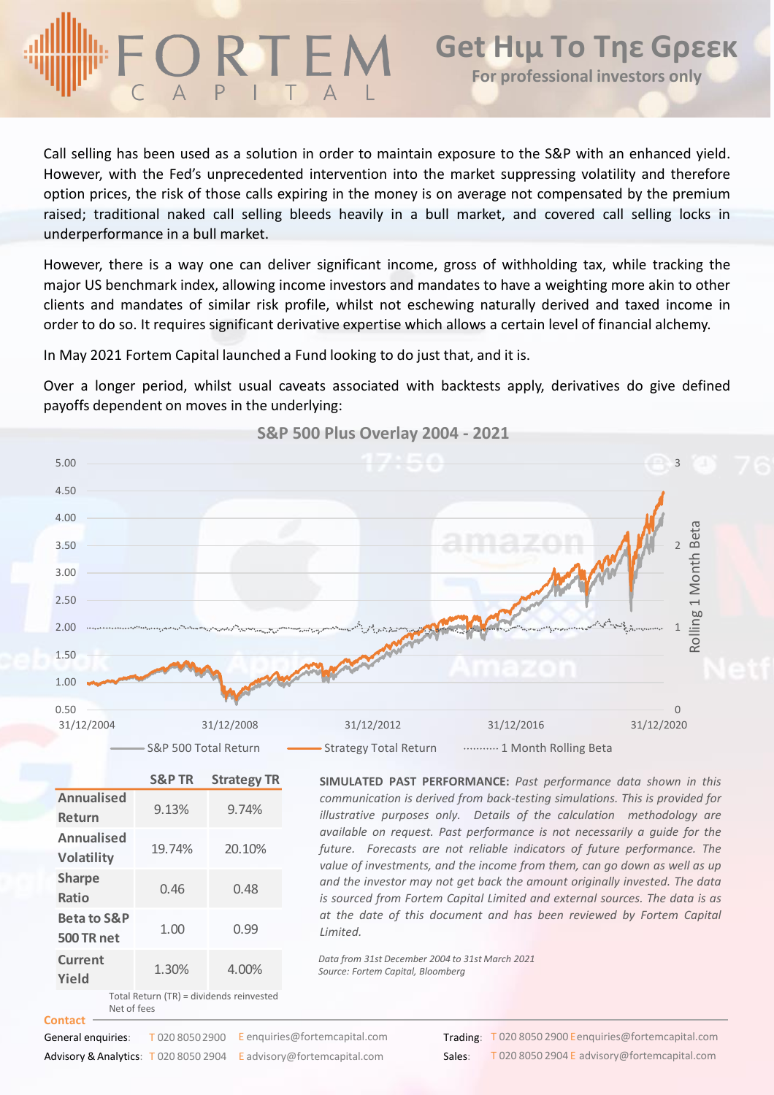Call selling has been used as a solution in order to maintain exposure to the S&P with an enhanced yield. However, with the Fed's unprecedented intervention into the market suppressing volatility and therefore option prices, the risk of those calls expiring in the money is on average not compensated by the premium raised; traditional naked call selling bleeds heavily in a bull market, and covered call selling locks in underperformance in a bull market.

However, there is a way one can deliver significant income, gross of withholding tax, while tracking the major US benchmark index, allowing income investors and mandates to have a weighting more akin to other clients and mandates of similar risk profile, whilst not eschewing naturally derived and taxed income in order to do so. It requires significant derivative expertise which allows a certain level of financial alchemy.

In May 2021 Fortem Capital launched a Fund looking to do just that, and it is.

Over a longer period, whilst usual caveats associated with backtests apply, derivatives do give defined payoffs dependent on moves in the underlying:

![](_page_4_Figure_6.jpeg)

*Data from 31st December 2004 to 31st March 2021 Source: Fortem Capital, Bloomberg*

Total Return (TR) = dividends reinvested

**Yield** 1.30% 4.00%

**Contact** General enquiries: Advisory & Analytics: T 020 8050 2904 E advisory@fortemcapital.com Sales: T 020 8050 2900 E enquiries @ fortemcapital.com

**Trading:** T 020 8050 2900 Eenquiries@fortemcapital.com T 020 8050 2904 E advisory@fortemcapital.com